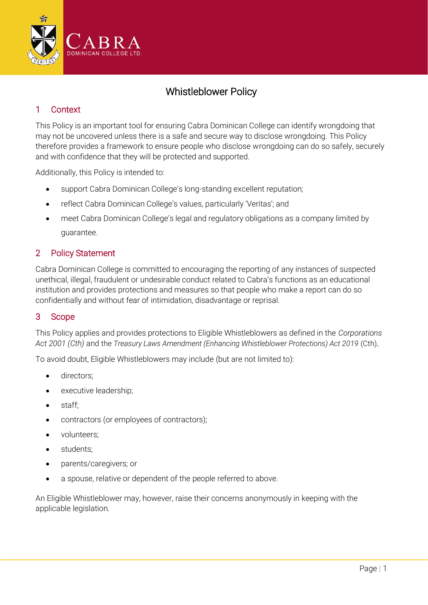

# Whistleblower Policy

## 1 Context

This Policy is an important tool for ensuring Cabra Dominican College can identify wrongdoing that may not be uncovered unless there is a safe and secure way to disclose wrongdoing. This Policy therefore provides a framework to ensure people who disclose wrongdoing can do so safely, securely and with confidence that they will be protected and supported.

Additionally, this Policy is intended to:

- support Cabra Dominican College's long-standing excellent reputation;
- reflect Cabra Dominican College's values, particularly 'Veritas'; and
- meet Cabra Dominican College's legal and regulatory obligations as a company limited by guarantee.

## 2 Policy Statement

Cabra Dominican College is committed to encouraging the reporting of any instances of suspected unethical, illegal, fraudulent or undesirable conduct related to Cabra's functions as an educational institution and provides protections and measures so that people who make a report can do so confidentially and without fear of intimidation, disadvantage or reprisal.

## 3 Scope

This Policy applies and provides protections to Eligible Whistleblowers as defined in the *Corporations Act 2001 (Cth)* and the *Treasury Laws Amendment (Enhancing Whistleblower Protections) Act 2019* (Cth).

To avoid doubt, Eligible Whistleblowers may include (but are not limited to):

- directors;
- executive leadership;
- staff;
- contractors (or employees of contractors);
- volunteers;
- students;
- parents/caregivers; or
- a spouse, relative or dependent of the people referred to above.

An Eligible Whistleblower may, however, raise their concerns anonymously in keeping with the applicable legislation.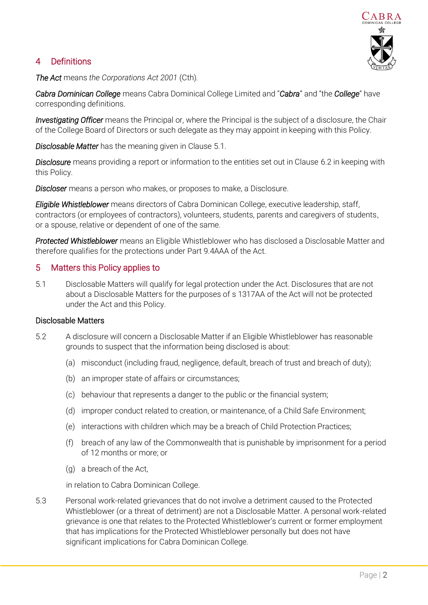## 4 Definitions



*The Act* means *the Corporations Act 2001* (Cth)*.*

*Cabra Dominican College* means Cabra Dominical College Limited and "*Cabra*" and "the *College*" have corresponding definitions.

*Investigating Officer* means the Principal or, where the Principal is the subject of a disclosure, the Chair of the College Board of Directors or such delegate as they may appoint in keeping with this Policy.

*Disclosable Matter* has the meaning given in Clause 5.1.

*Disclosure* means providing a report or information to the entities set out in Clause 6.2 in keeping with this Policy.

*Discloser* means a person who makes, or proposes to make, a Disclosure.

*Eligible Whistleblower* means directors of Cabra Dominican College, executive leadership, staff, contractors (or employees of contractors), volunteers, students, parents and caregivers of students, or a spouse, relative or dependent of one of the same.

*Protected Whistleblower* means an Eligible Whistleblower who has disclosed a Disclosable Matter and therefore qualifies for the protections under Part 9.4AAA of the Act.

### 5 Matters this Policy applies to

5.1 Disclosable Matters will qualify for legal protection under the Act. Disclosures that are not about a Disclosable Matters for the purposes of s 1317AA of the Act will not be protected under the Act and this Policy.

#### Disclosable Matters

- 5.2 A disclosure will concern a Disclosable Matter if an Eligible Whistleblower has reasonable grounds to suspect that the information being disclosed is about:
	- (a) misconduct (including fraud, negligence, default, breach of trust and breach of duty);
	- (b) an improper state of affairs or circumstances;
	- (c) behaviour that represents a danger to the public or the financial system;
	- (d) improper conduct related to creation, or maintenance, of a Child Safe Environment;
	- (e) interactions with children which may be a breach of Child Protection Practices;
	- (f) breach of any law of the Commonwealth that is punishable by imprisonment for a period of 12 months or more; or
	- (g) a breach of the Act,

in relation to Cabra Dominican College.

5.3 Personal work-related grievances that do not involve a detriment caused to the Protected Whistleblower (or a threat of detriment) are not a Disclosable Matter. A personal work-related grievance is one that relates to the Protected Whistleblower's current or former employment that has implications for the Protected Whistleblower personally but does not have significant implications for Cabra Dominican College.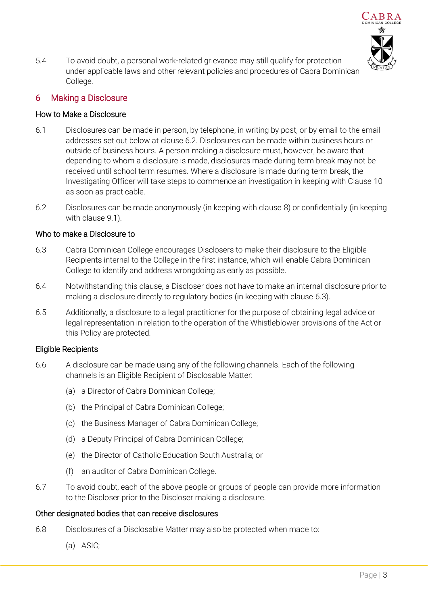

5.4 To avoid doubt, a personal work-related grievance may still qualify for protection under applicable laws and other relevant policies and procedures of Cabra Dominican College.

### 6 Making a Disclosure

#### How to Make a Disclosure

- 6.1 Disclosures can be made in person, by telephone, in writing by post, or by email to the email addresses set out below at clause 6.2. Disclosures can be made within business hours or outside of business hours. A person making a disclosure must, however, be aware that depending to whom a disclosure is made, disclosures made during term break may not be received until school term resumes. Where a disclosure is made during term break, the Investigating Officer will take steps to commence an investigation in keeping with Clause 10 as soon as practicable.
- 6.2 Disclosures can be made anonymously (in keeping with clause 8) or confidentially (in keeping with clause 9.1).

#### Who to make a Disclosure to

- 6.3 Cabra Dominican College encourages Disclosers to make their disclosure to the Eligible Recipients internal to the College in the first instance, which will enable Cabra Dominican College to identify and address wrongdoing as early as possible.
- 6.4 Notwithstanding this clause, a Discloser does not have to make an internal disclosure prior to making a disclosure directly to regulatory bodies (in keeping with clause 6.3).
- 6.5 Additionally, a disclosure to a legal practitioner for the purpose of obtaining legal advice or legal representation in relation to the operation of the Whistleblower provisions of the Act or this Policy are protected.

#### Eligible Recipients

- 6.6 A disclosure can be made using any of the following channels. Each of the following channels is an Eligible Recipient of Disclosable Matter:
	- (a) a Director of Cabra Dominican College;
	- (b) the Principal of Cabra Dominican College;
	- (c) the Business Manager of Cabra Dominican College;
	- (d) a Deputy Principal of Cabra Dominican College;
	- (e) the Director of Catholic Education South Australia; or
	- (f) an auditor of Cabra Dominican College.
- 6.7 To avoid doubt, each of the above people or groups of people can provide more information to the Discloser prior to the Discloser making a disclosure.

#### Other designated bodies that can receive disclosures

- 6.8 Disclosures of a Disclosable Matter may also be protected when made to:
	- (a) ASIC;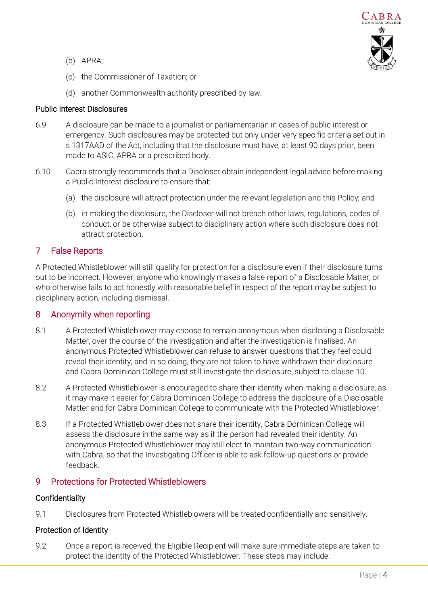

- (b) APRA;
- (c) the Commissioner of Taxation; or
- (d) another Commonwealth authority prescribed by law.

### Public Interest Disclosures

- 6.9 A disclosure can be made to a journalist or parliamentarian in cases of public interest or emergency. Such disclosures may be protected but only under very specific criteria set out in s 1317AAD of the Act, including that the disclosure must have, at least 90 days prior, been made to ASIC, APRA or a prescribed body.
- 6.10 Cabra strongly recommends that a Discloser obtain independent legal advice before making a Public Interest disclosure to ensure that:
	- (a) the disclosure will attract protection under the relevant legislation and this Policy; and
	- (b) in making the disclosure, the Discloser will not breach other laws, regulations, codes of conduct, or be otherwise subject to disciplinary action where such disclosure does not attract protection.

### 7 False Reports

A Protected Whistleblower will still qualify for protection for a disclosure even if their disclosure turns out to be incorrect. However, anyone who knowingly makes a false report of a Disclosable Matter, or who otherwise fails to act honestly with reasonable belief in respect of the report may be subject to disciplinary action, including dismissal.

### 8 Anonymity when reporting

- 8.1 A Protected Whistleblower may choose to remain anonymous when disclosing a Disclosable Matter, over the course of the investigation and after the investigation is finalised. An anonymous Protected Whistleblower can refuse to answer questions that they feel could reveal their identity, and in so doing, they are not taken to have withdrawn their disclosure and Cabra Dominican College must still investigate the disclosure, subject to clause 10.
- 8.2 A Protected Whistleblower is encouraged to share their identity when making a disclosure, as it may make it easier for Cabra Dominican College to address the disclosure of a Disclosable Matter and for Cabra Dominican College to communicate with the Protected Whistleblower.
- 8.3 If a Protected Whistleblower does not share their identity, Cabra Dominican College will assess the disclosure in the same way as if the person had revealed their identity. An anonymous Protected Whistleblower may still elect to maintain two-way communication with Cabra, so that the Investigating Officer is able to ask follow-up questions or provide feedback.

### 9 Protections for Protected Whistleblowers

#### **Confidentiality**

9.1 Disclosures from Protected Whistleblowers will be treated confidentially and sensitively.

#### Protection of Identity

9.2 Once a report is received, the Eligible Recipient will make sure immediate steps are taken to protect the identity of the Protected Whistleblower. These steps may include: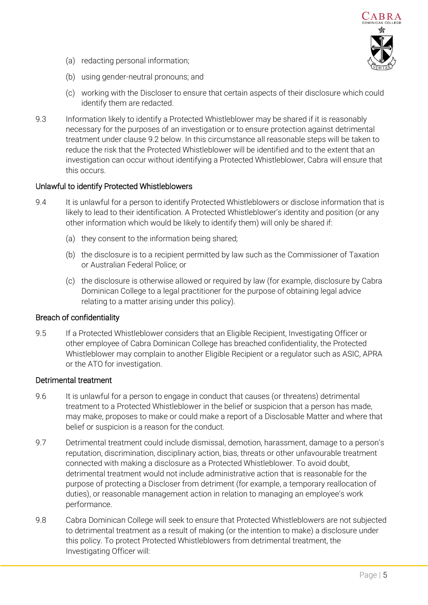

- (a) redacting personal information;
- (b) using gender-neutral pronouns; and
- (c) working with the Discloser to ensure that certain aspects of their disclosure which could identify them are redacted.
- 9.3 Information likely to identify a Protected Whistleblower may be shared if it is reasonably necessary for the purposes of an investigation or to ensure protection against detrimental treatment under clause 9.2 below. In this circumstance all reasonable steps will be taken to reduce the risk that the Protected Whistleblower will be identified and to the extent that an investigation can occur without identifying a Protected Whistleblower, Cabra will ensure that this occurs.

### Unlawful to identify Protected Whistleblowers

- 9.4 It is unlawful for a person to identify Protected Whistleblowers or disclose information that is likely to lead to their identification. A Protected Whistleblower's identity and position (or any other information which would be likely to identify them) will only be shared if:
	- (a) they consent to the information being shared;
	- (b) the disclosure is to a recipient permitted by law such as the Commissioner of Taxation or Australian Federal Police; or
	- (c) the disclosure is otherwise allowed or required by law (for example, disclosure by Cabra Dominican College to a legal practitioner for the purpose of obtaining legal advice relating to a matter arising under this policy).

#### Breach of confidentiality

9.5 If a Protected Whistleblower considers that an Eligible Recipient, Investigating Officer or other employee of Cabra Dominican College has breached confidentiality, the Protected Whistleblower may complain to another Eligible Recipient or a regulator such as ASIC, APRA or the ATO for investigation.

#### Detrimental treatment

- 9.6 It is unlawful for a person to engage in conduct that causes (or threatens) detrimental treatment to a Protected Whistleblower in the belief or suspicion that a person has made, may make, proposes to make or could make a report of a Disclosable Matter and where that belief or suspicion is a reason for the conduct.
- 9.7 Detrimental treatment could include dismissal, demotion, harassment, damage to a person's reputation, discrimination, disciplinary action, bias, threats or other unfavourable treatment connected with making a disclosure as a Protected Whistleblower. To avoid doubt, detrimental treatment would not include administrative action that is reasonable for the purpose of protecting a Discloser from detriment (for example, a temporary reallocation of duties), or reasonable management action in relation to managing an employee's work performance.
- 9.8 Cabra Dominican College will seek to ensure that Protected Whistleblowers are not subjected to detrimental treatment as a result of making (or the intention to make) a disclosure under this policy. To protect Protected Whistleblowers from detrimental treatment, the Investigating Officer will: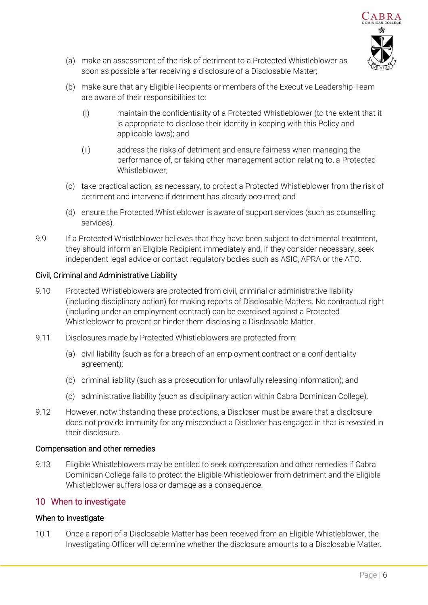

- (a) make an assessment of the risk of detriment to a Protected Whistleblower as soon as possible after receiving a disclosure of a Disclosable Matter;
- (b) make sure that any Eligible Recipients or members of the Executive Leadership Team are aware of their responsibilities to:
	- (i) maintain the confidentiality of a Protected Whistleblower (to the extent that it is appropriate to disclose their identity in keeping with this Policy and applicable laws); and
	- (ii) address the risks of detriment and ensure fairness when managing the performance of, or taking other management action relating to, a Protected Whistleblower;
- (c) take practical action, as necessary, to protect a Protected Whistleblower from the risk of detriment and intervene if detriment has already occurred; and
- (d) ensure the Protected Whistleblower is aware of support services (such as counselling services).
- 9.9 If a Protected Whistleblower believes that they have been subject to detrimental treatment, they should inform an Eligible Recipient immediately and, if they consider necessary, seek independent legal advice or contact regulatory bodies such as ASIC, APRA or the ATO.

#### Civil, Criminal and Administrative Liability

- 9.10 Protected Whistleblowers are protected from civil, criminal or administrative liability (including disciplinary action) for making reports of Disclosable Matters. No contractual right (including under an employment contract) can be exercised against a Protected Whistleblower to prevent or hinder them disclosing a Disclosable Matter.
- 9.11 Disclosures made by Protected Whistleblowers are protected from:
	- (a) civil liability (such as for a breach of an employment contract or a confidentiality agreement);
	- (b) criminal liability (such as a prosecution for unlawfully releasing information); and
	- (c) administrative liability (such as disciplinary action within Cabra Dominican College).
- 9.12 However, notwithstanding these protections, a Discloser must be aware that a disclosure does not provide immunity for any misconduct a Discloser has engaged in that is revealed in their disclosure.

#### Compensation and other remedies

9.13 Eligible Whistleblowers may be entitled to seek compensation and other remedies if Cabra Dominican College fails to protect the Eligible Whistleblower from detriment and the Eligible Whistleblower suffers loss or damage as a consequence.

#### 10 When to investigate

#### When to investigate

10.1 Once a report of a Disclosable Matter has been received from an Eligible Whistleblower, the Investigating Officer will determine whether the disclosure amounts to a Disclosable Matter.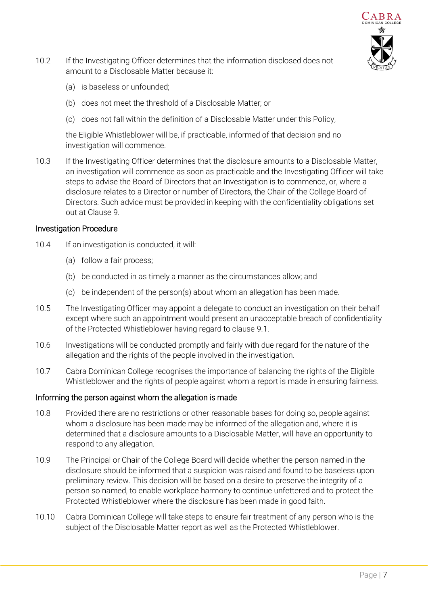

- 10.2 If the Investigating Officer determines that the information disclosed does not amount to a Disclosable Matter because it:
	- (a) is baseless or unfounded;
	- (b) does not meet the threshold of a Disclosable Matter; or
	- (c) does not fall within the definition of a Disclosable Matter under this Policy,

the Eligible Whistleblower will be, if practicable, informed of that decision and no investigation will commence.

10.3 If the Investigating Officer determines that the disclosure amounts to a Disclosable Matter, an investigation will commence as soon as practicable and the Investigating Officer will take steps to advise the Board of Directors that an Investigation is to commence, or, where a disclosure relates to a Director or number of Directors, the Chair of the College Board of Directors. Such advice must be provided in keeping with the confidentiality obligations set out at Clause 9.

#### Investigation Procedure

- 10.4 If an investigation is conducted, it will:
	- (a) follow a fair process;
	- (b) be conducted in as timely a manner as the circumstances allow; and
	- (c) be independent of the person(s) about whom an allegation has been made.
- 10.5 The Investigating Officer may appoint a delegate to conduct an investigation on their behalf except where such an appointment would present an unacceptable breach of confidentiality of the Protected Whistleblower having regard to clause 9.1.
- 10.6 Investigations will be conducted promptly and fairly with due regard for the nature of the allegation and the rights of the people involved in the investigation.
- 10.7 Cabra Dominican College recognises the importance of balancing the rights of the Eligible Whistleblower and the rights of people against whom a report is made in ensuring fairness.

#### Informing the person against whom the allegation is made

- 10.8 Provided there are no restrictions or other reasonable bases for doing so, people against whom a disclosure has been made may be informed of the allegation and, where it is determined that a disclosure amounts to a Disclosable Matter, will have an opportunity to respond to any allegation.
- 10.9 The Principal or Chair of the College Board will decide whether the person named in the disclosure should be informed that a suspicion was raised and found to be baseless upon preliminary review. This decision will be based on a desire to preserve the integrity of a person so named, to enable workplace harmony to continue unfettered and to protect the Protected Whistleblower where the disclosure has been made in good faith.
- 10.10 Cabra Dominican College will take steps to ensure fair treatment of any person who is the subject of the Disclosable Matter report as well as the Protected Whistleblower.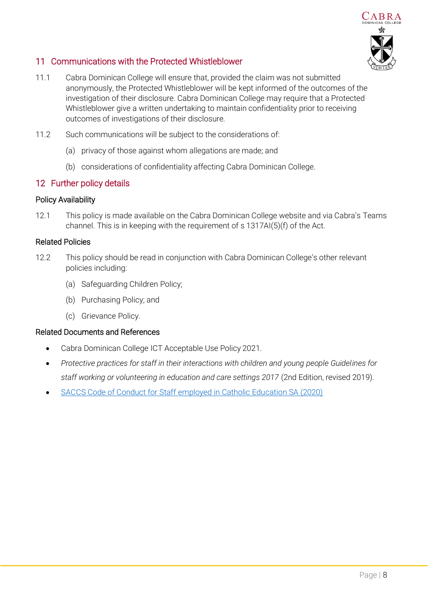

## 11 Communications with the Protected Whistleblower

- 11.1 Cabra Dominican College will ensure that, provided the claim was not submitted anonymously, the Protected Whistleblower will be kept informed of the outcomes of the investigation of their disclosure. Cabra Dominican College may require that a Protected Whistleblower give a written undertaking to maintain confidentiality prior to receiving outcomes of investigations of their disclosure.
- 11.2 Such communications will be subject to the considerations of:
	- (a) privacy of those against whom allegations are made; and
	- (b) considerations of confidentiality affecting Cabra Dominican College.

## 12 Further policy details

### Policy Availability

12.1 This policy is made available on the Cabra Dominican College website and via Cabra's Teams channel. This is in keeping with the requirement of s 1317AI(5)(f) of the Act.

### Related Policies

- 12.2 This policy should be read in conjunction with Cabra Dominican College's other relevant policies including:
	- (a) Safeguarding Children Policy;
	- (b) Purchasing Policy; and
	- (c) Grievance Policy.

#### Related Documents and References

- Cabra Dominican College ICT Acceptable Use Policy 2021.
- *Protective practices for staff in their interactions with children and young people Guidelines for staff working or volunteering in education and care settings 2017* (2nd Edition, revised 2019).
- [SACCS Code of Conduct for Staff employed in Catholic Education SA \(2020\)](https://www.cesa.catholic.edu.au/__files/f/4890/CodeofConduct_SACCS_May2020.pdf)